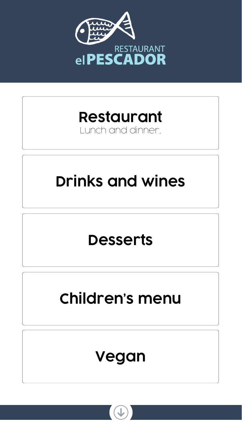<span id="page-0-0"></span>

## RESTAURANT **elPESCADOR**

## **[Restaurant](#page-1-0)**

### Lunch and dinner,



# **[Children's menu](#page-4-0)**



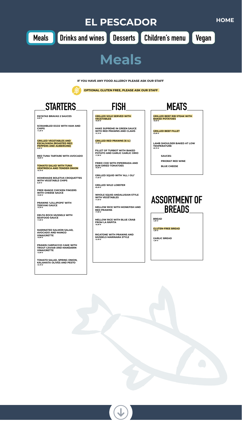**TROUT CAVIAR AND MANDARIN VINAIGRETTE** *13,90 €*

**TOMATO SALAD, SPRING ONION, KALAMATA OLIVES AND PESTO** *10,70 €*







<span id="page-1-0"></span>



| <b>SCRAMBLED EGGS WITH HAM AND</b><br><b>CHIPS</b><br>11,20 €                                                   | <b>HAKE SUPREME IN GREEN SAUCE</b><br><b>WITH RED PRAWNS AND CLAMS</b><br>14,10 €                       | <b>GRILLED BEEF FILLET</b><br>$23,90 \t€$                               |
|-----------------------------------------------------------------------------------------------------------------|---------------------------------------------------------------------------------------------------------|-------------------------------------------------------------------------|
| <b>GRILLED VEGETABLES AND</b><br><b>ESCALIVADA (ROASTED RED)</b><br><b>PEPPERS AND AUBERGINE)</b><br>$9,50 \in$ | <b>GRILLED RED PRAWNS (6 U.)</b><br>17,40 €                                                             | <b>LAMB SHOULDER BAKED AT LOW</b><br><b>TEMPERATURE</b><br>20,70 €      |
| <b>RED TUNA TARTARE WITH AVOCADO</b><br>18,80 €                                                                 | FILLET OF TURBOT WITH BAKED<br><b>POTATO AND GARLIC GARLIC ORIO</b><br>17,90 €                          | <b>SAUCES:</b>                                                          |
| <b>TOMATO SALAD WITH TUNA</b><br><b>VENTRESCA AND TENDER ONION</b><br>10,70 €                                   | <b>FRIED COD WITH PIPERRADA AND</b><br><b>SUN-DRIED TOMATOES</b><br>16,80 €                             | <b>PRIORAT RED WINE</b><br><b>BLUE CHEESE</b>                           |
| <b>HOMEMADE BOLETUS CROQUETTES</b><br><b>WITH VEGETABLE CHIPS</b><br>8,20 $\pounds$                             | <b>GRILLED SQUID WITH 'ALL I OLI'</b><br>17,50 €                                                        |                                                                         |
| <b>FREE-RANGE CHICKEN FINGERS</b><br><b>WITH CHEESE SAUCE</b><br>10,90 €                                        | <b>GRILLED WILD LOBSTER</b><br>45,00 €<br><b>WHOLE SQUID ANDALUSIAN STYLE</b><br><b>WITH VEGETABLES</b> |                                                                         |
| <b>PRAWNS 'LOLLIPOPS' WITH</b><br><b>TERIYAKI SAUCE</b><br>15,20 €                                              | 17,50 €<br><b>MELLOW RICE WITH MONKFISH AND</b><br><b>RED PRAWNS</b>                                    | <b>ASSORTMENT OF</b><br><b>BREADS</b>                                   |
| <b>DELTA ROCK MUSSELS WITH</b><br><b>SEAFOOD SAUCE</b><br>11,00 €                                               | 17,90 €<br><b>MELLOW RICE WITH BLUE CRAB</b><br><b>FROM LA RÁPITA</b><br>16,90 €                        | <b>BREAD</b><br>1,00 €                                                  |
| <b>MARINATED SALMON SALAD,</b><br><b>AVOCADO AND MANGO</b><br><b>VINAIGRETTE</b><br>10,90 €                     | <b>RIGATONE WITH PRAWNS AND</b><br><b>MUSSELS MARINARA STYLE</b><br>12,40 €                             | <b>GLUTEN-FREE BREAD</b><br>1,00 €<br><b>GARLIC BREAD</b><br>$1,00 \t∈$ |
| <b>PRAWN CARPACCIO CAKE WITH</b><br>TDOUT CAVIAD AND MANDADIN                                                   |                                                                                                         |                                                                         |

**IF YOU HAVE ANY FOOD ALLERGY PLEASE ASK OUR STAFF**



 **OPTIONAL GLUTEN FREE, PLEASE ASK OUR STAFF**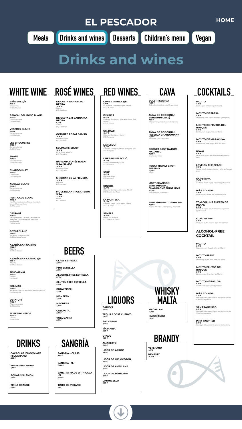### **EL PESCADOR [HOME](#page-0-0)**

## <span id="page-2-0"></span>**[Meals](#page-1-0) Drinks and wines [Desserts](#page-3-0) [Children's menu](#page-4-0) [Vegan](#page-5-0)**

**BOLET RESERVA** *15,80 € Brut nature macabeu, xarel·lo, parellada*

**ANNA DE CODORNIU BENJAMIN (22CL)** *7,30 € Chardonnay, parellada, xarel·lomacabeu*

**ANNA DE CODORNIU RESERVA CHARDONNAY** *16,30 € Parellada, xarel·lomacabeu*

**COQUET BRUT NATURE MACABEU** *20,20 € Xarel·lo, parellada*

**ROSAT TREPAT BRUT RESERVA** *15,70 € Trepat*

**MOET CHANDON BRUT IMPERIAL CHAMPAGNE PINOT NOIR** *42,00 € Pinot meunier, chardonnay*

**BRUT IMPERIAL GRAMONA** *22,60 € Xarel·lo, Macabeu, Chardonnay, Parellada*

**VIÑA SOL 3/8** *7,30 € Chardonnay D.O.Catalunya*

**BANCAL DEL BOSC BLANC** *16,20 € Garnatxa blanca D.O.Montsant*

**VESPRES BLANC** *16,30€ Garnatxa blanca D.O.Montsant*

**LES BRUGUERES** *20,80 € Garnatxa blanca D.O.Q. Priorat*

**ENATE** *15,60 € Gewürztraminer D.O.Somontano* 

**CHARDONNAY** *14,20 € Chardonnay D.O.Tarragona* 

**AUCALÀ BLANC** *15,10 € Garnatxa blanca D.O.Terra alta*

**PETIT CAUS BLANC** *14,10 € Xarel·lo, macabeu,chardonnay, moscatell, chenín blanc, parellada D.O.Penedès*

**GESSAMÍ** *15,60 € Sauvignon blanc, muscat, moscatell de frontignon, gewürztraminer, moscatell*  d'alexandria *D.O.Penedès*

**GOTIM BLANC** *13,20 € Macabeu, sauvignon blanc D.O.Costers del segre*

**ABADÍA SAN CAMPIO** *18,20 €*

*Albariño D.O.Rias baixas* 

#### **ABADÍA SAN CAMPIO 3/8** *9,80 €*

*Albariño D.O.Rias baixas* 

#### **FENOMENAL**

*14,00 € Verdejo D.O.rueda*

**SOLIMAR** *10,80 €* Macabeu, muscat d'alexandria, sauvignon blanc *D.O.Tarragona*

#### **OSTATUM** *14,00 €*

*Acabeu, malvasia D.O.CA. Rioja*

#### **EL PERRO VERDE** *15,20 € Verdejo D.O.RUEDA*

**DE CASTA GARNATXA** 

**NEGRA** *11,90 € Samsó D.O.Catalunya*

#### **DE CASTA 3/8 GARNATXA NEGRA** *6,70 €*



*Samsó D.O.Catalunya*

**OCTUBRE ROSAT SAMSÓ** *14,00 € Garnatxa negra D.O.Montsant* 

**SOLIMAR MERLOT** *10,80 € Ull de llebre, garnatxa D.O.Tarragona*

**BÀRBARA FORÉS ROSAT SIRÀ, SAMSÓ** *14,40 € Garnatxa negra D.O.Terra alta*

**SINDICAT DE LA FIGUERA** *14,60 € Garnatxa D.O.Montsant* 

**MOUSTILLANT ROSAT BRUT SIRÀ** *13,50 €*

*Merlot D.O.Penedès* **CUNE CRIANZA 3/8** *8,30 € Ull de llebre, Garnatxa Negra, Samsó D.O.Ca. Rioja*

**ELS PICS** *20,10 € Cabernet Sauvignon, Garnatxa Negra, Sirà, Samsó D.O.Q. Priorat*

**SOLIMAR** *11,20 € Cabernet Sauvignon , Merlot D.O.Tarragona*

**L'ARLEQUÍ** *16,80 € Cabernet Sauvignon, Merlot, carinyena, sirà D.O.Tarragona*

**L'HERAVI SELECCIÓ** *16,70 € Samsó, garnatxa negra, sirà D.O.Montsant*

**SERÈ** *13,70 € Garnatxa Negra D.O.Montsant*

**COLORS** *16,00 € Cabernet Sauvignon, Garnatxa, Merlot D.O.Costers del Segre*

**LA MONTESA** *18,50 € Garnatxa Negra, Ull de llebre, Samsó D.O.Ca. Rioja*

**SEMELE** *16,30 € Merlot, Ull de llebre D.O.Ribera del Duero*

### **WHITE WINE ROSÉ WINES RED WINES CAVA**

# **Drinks and wines**

### **COCKTAILS**

**MOJITO** *7,70 € Rum, sugar, mint and Sprite (soda).*

**MOJITO DE FRESA** *8,00 € Strawberry, rum, sugar, mint and Sprite (soda).*

**MOJITO DE FRUTOS DEL BOSQUE** *8,00 € Berries, rum, sugar, mint and Sprite.*

**MOJITO DE MARACUYÁ** *8,00 € Passion fruit, rum, sugar, mint and soda*

**ROYAL** *8,00 € Rum, lime, sugar, berries and cava (sparkling wine)*

**LOVE ON THE BEACH** *7,60 € Vodka, peach liqueur, cranberry juice and orange juice*

**CAIPIRINYA** *7,60 € Cachaça, brown sugar, lime and Sprite (soda)*

**PIÑA COLADA** *7,60 € Rum, coconut purée and pineapple juice*

**TOM COLLINS PUERTO DE INDIAS** *8,00 € Puerto de Indias Gin, lemon juice, sugar and Sprite (soda)*

**LONG ISLAND** *8,00 € Rum, gin, vodka, tequila, triple sec and cola*

**ALCOHOL-FREE COCKTAIL**

**MOJITO** *6,00 €*

*Sugar, lime, mint, apple juice and Sprite*

**MOJITO FRESA** *6,30 € Strawberry, sugar, lime, mint and Sprite*

**MOJITO FRUTOS DEL BOSQUE** *6,30 € Berries, sugar, lime, mint and Sprite*

**MOJITO MARACUYÁ** *6,30 € Coconut syrup and pineapple juice*

**PIÑA COLADA** *5,20 € Pineapple juice, peach juice, orange juice and a hint of pomegranate*

**SAN FRANCISCO** *5,20 € Pineapple juice, peach juice, orange juice and a hint of pomegranate* 

**PINK PANTHER** *5,20 € Pineapple juice, coconut syrup and strawberry*



**GLASS ESTRELLA** *2,50 €*

**PINT ESTRELLA** *3,50 €*

**ALCOHOL FREE ESTRELLA** *2,70 €*

**GLUTEN FREE ESTRELLA** *3,20 €*

**BUDWEISER** *3,70 €*

**HEINEKEN** *3,70 €*

**MAGNERS** *4,90 €*

**CORONITA** *3,90 €*

**VOLL DAMM** *3,00 €*

**SANGRÍA – GLASS** *3,90 €*

**SANGRÍA - 1L** *13,20 €*

**SANGRÍA MADE WITH CAVA - 1L.** *16,50 €*

**TINTO DE VERANO** *2,90*



**CACAOLAT (CHOCOLATE MILK SHAKE)** *2,90 €*

**SPARKLING WATER** *1,80 €*

**AQUARIUS LEMON** *2,90 €*

**TRINA ORANGE** *2,70 €*

**BAILEYS** *5,30 €*

**TEQUILA JOSÉ CUERVO** *6,60 €*

**PACHARÁN** *4,20 €*

**TÍA MARIA** *5,00 €*

**ORUJO** *4,90 €*

**AMARETTO** *4,10 €*

**LICOR DE ARROZ** *3,90 €*

**LICOR DE MELOCOTÓN** *3,90 €*

**LICOR DE AVELLANA** *3,90 €*

**LICOR DE MANZANA** *3,90 €*

**LIMONCELLO** *5,00 €*







**MACALLAN**

*11,40€*

**KNOCKANDO**

*7,60 €*

**VETERANO**

*4,40 €*

**HENESSY**

*10,30 €*



**WHISKY**

**MALTA**

**BRANDY**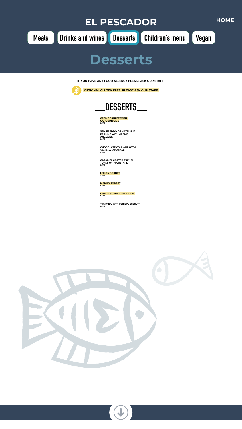**CRÈME BRÜLEE WITH CARQUINYOLIS** *5,90 €*

**SEMIFREDDO OF HAZELNUT PRALINE WITH CRÈME ANGLAISE** *6,10 €*

**CHOCOLATE COULANT WITH VANILLA ICE CREAM** *6,80 €*

<span id="page-3-0"></span>

**CARAMEL COATED FRENCH TOAST WITH CUSTARD** *7,20 €*

**LEMON SORBET** *5,80 €*

**MANGO SORBET** *5,80 €*

**LEMON SORBET WITH CAVA** *6,50 €*

**TIRAMISU WITH CRISPY BISCUIT** *7,50 €*











**IF YOU HAVE ANY FOOD ALLERGY PLEASE ASK OUR STAFF**



 **OPTIONAL GLUTEN FREE, PLEASE ASK OUR STAFF**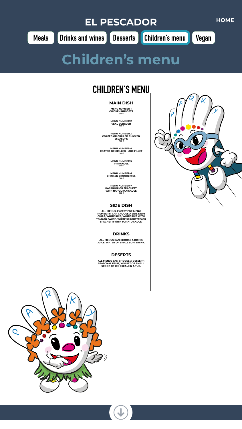**MAIN DISH**

**MENU NUMBER 1 CHICKEN NUGGETS** *7,90 €*

**MENU NUMBER 2 VEAL BURGUER**



*7,90 €*

**MENU NUMBER 3 COATED OR GRILLED CHICKEN ESCALOPE** *7,90 €*

**MENU NUMBER 4 COATED OR GRILLED HAKE FILLET** *7,90 €*

> **MENU NUMBER 5 FRIKANDEL** *7,90 €*

**MENU NUMBER 6 CHICKEN CROQUETTES** *7,90 €*

**MENU NUMBER 7 MACARONI OR SPAGUETTI WITH NAPOLITAN SAUCE** *6,90 €*

### **SIDE DISH**

**ALL MENUS, EXCEPT FOR MENU NUMBER 8, CAN CHOOSE A SIDE DISH: CHIPS, WHITE RICE, WHITE RICE WITH TOMATO SAUCE, WHITE SPAGHETTIS OR SPAGHETTI WITH TOMATO SAUCE.** 

### **DRINKS**

**ALL MENUS CAN CHOOSE A DRINK: JUICE, WATER OR SMALL SOFT DRINK.**

### **DESERTS**

**ALL MENUS CAN CHOOSE A DESSERT: SEASONAL FRUIT, YOGURT OR SMALL SCOOP OF ICE CREAM IN A TUB.**







## **CHILDREN'S MENU**

# <span id="page-4-0"></span>**EL PESCADOR [HOME](#page-0-0) [Meals](#page-1-0) [Drinks and wines](#page-2-0) [Desserts](#page-3-0) Children's menu [Vegan](#page-5-0)**

## **Children's menu**